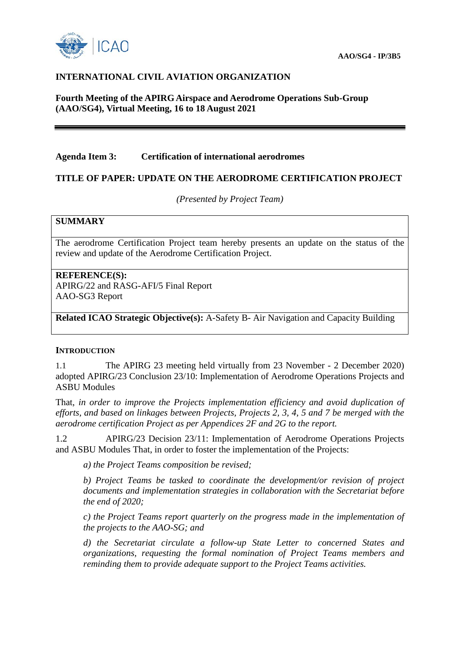

### **INTERNATIONAL CIVIL AVIATION ORGANIZATION**

**Fourth Meeting of the APIRG Airspace and Aerodrome Operations Sub-Group (AAO/SG4), Virtual Meeting, 16 to 18 August 2021**

### **Agenda Item 3: Certification of international aerodromes**

### **TITLE OF PAPER: UPDATE ON THE AERODROME CERTIFICATION PROJECT**

*(Presented by Project Team)*

#### **SUMMARY**

The aerodrome Certification Project team hereby presents an update on the status of the review and update of the Aerodrome Certification Project.

#### **REFERENCE(S):**

APIRG/22 and RASG-AFI/5 Final Report AAO-SG3 Report

**Related ICAO Strategic Objective(s):** A-Safety B- Air Navigation and Capacity Building

#### **INTRODUCTION**

1.1 The APIRG 23 meeting held virtually from 23 November - 2 December 2020) adopted APIRG/23 Conclusion 23/10: Implementation of Aerodrome Operations Projects and ASBU Modules

That, *in order to improve the Projects implementation efficiency and avoid duplication of efforts, and based on linkages between Projects, Projects 2, 3, 4, 5 and 7 be merged with the aerodrome certification Project as per Appendices 2F and 2G to the report.* 

1.2 APIRG/23 Decision 23/11: Implementation of Aerodrome Operations Projects and ASBU Modules That, in order to foster the implementation of the Projects:

*a) the Project Teams composition be revised;*

*b) Project Teams be tasked to coordinate the development/or revision of project documents and implementation strategies in collaboration with the Secretariat before the end of 2020;* 

*c) the Project Teams report quarterly on the progress made in the implementation of the projects to the AAO-SG; and* 

*d) the Secretariat circulate a follow-up State Letter to concerned States and organizations, requesting the formal nomination of Project Teams members and reminding them to provide adequate support to the Project Teams activities.*